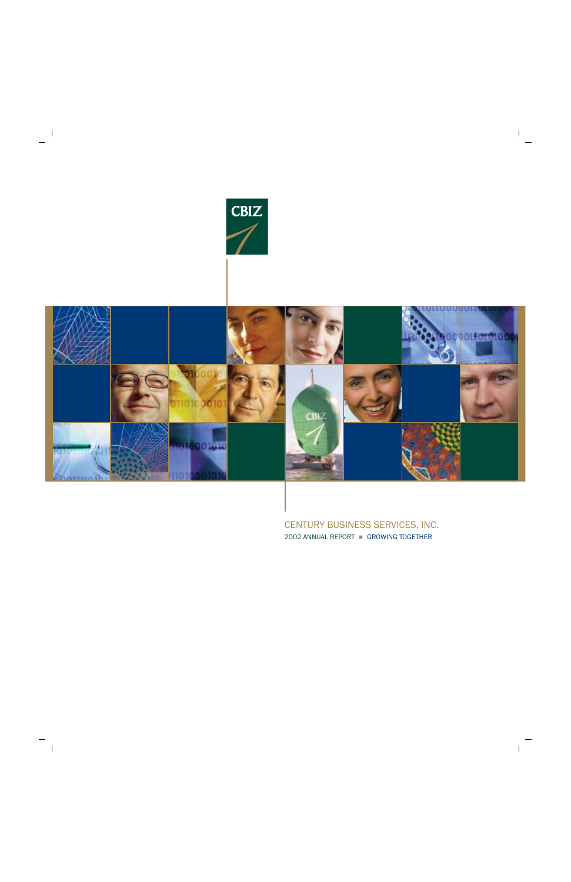



CENTURY BUSINESS SERVICES, INC. 2002 ANNUAL REPORT - GROWING TOGETHER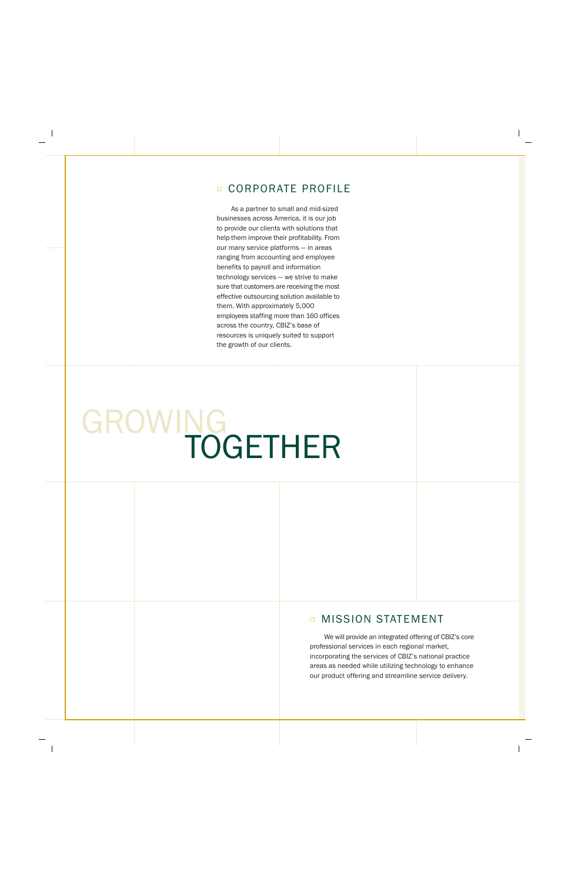## **CORPORATE PROFILE**

As a partner to small and mid-sized businesses across America, it is our job to provide our clients with solutions that help them improve their profitability. From our many service platforms - in areas ranging from accounting and employee benefits to payroll and information technology services - we strive to make sure that customers are receiving the most effective outsourcing solution available to them. With approximately 5,000 employees staffing more than 160 offices across the country, CBIZ's base of resources is uniquely suited to support the growth of our clients.

# GROWING<br>TOGETHER

# **D MISSION STATEMENT**

We will provide an integrated offering of CBIZ's core professional services in each regional market, incorporating the services of CBIZ's national practice areas as needed while utilizing technology to enhance our product offering and streamline service delivery.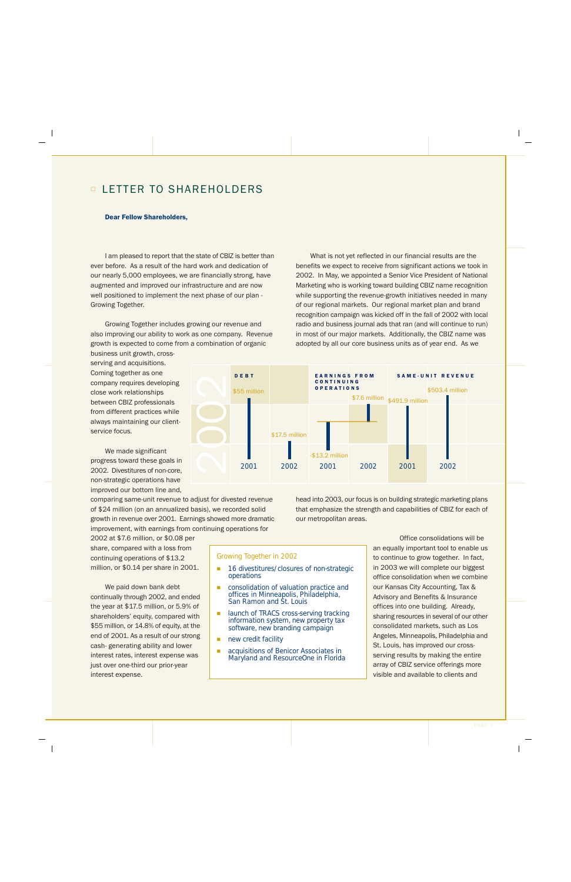# **<u><b>□ LETTER TO SHAREHOLDERS**</u>

## **Dear Fellow Shareholders,**

I am pleased to report that the state of CBIZ is better than ever before. As a result of the hard work and dedication of our nearly 5,000 employees, we are financially strong, have augmented and improved our infrastructure and are now well positioned to implement the next phase of our plan -Growing Together.

Growing Together includes growing our revenue and also improving our ability to work as one company. Revenue growth is expected to come from a combination of organic business unit growth, cross-

serving and acquisitions. Coming together as one company requires developing close work relationships between CBIZ professionals from different practices while always maintaining our clientservice focus.

We made significant progress toward these goals in 2002. Divestitures of non-core, non-strategic operations have improved our bottom line and,

comparing same-unit revenue to adjust for divested revenue of \$24 million (on an annualized basis), we recorded solid growth in revenue over 2001. Earnings showed more dramatic improvement, with earnings from continuing operations for

2002 at \$7.6 million, or \$0.08 per share, compared with a loss from continuing operations of \$13.2 million, or \$0.14 per share in 2001.

We paid down bank debt continually through 2002, and ended the year at \$17.5 million, or 5.9% of shareholders' equity, compared with \$55 million, or 14.8% of equity, at the end of 2001. As a result of our strong cash- generating ability and lower interest rates, interest expense was just over one-third our prior-year interest expense.

## **Growing Together in 2002**

- $\blacksquare$ 16 divestitures/closures of non-strategic operations
- consolidation of valuation practice and offices in Minneapolis, Philadelphia, San Ramon and St. Louis
- launch of TRACS cross-serving tracking information system, new property tax software, new branding campaign
- $\blacksquare$ new credit facility
- acquisitions of Benicor Associates in Î. Maryland and ResourceOne in Florida

What is not yet reflected in our financial results are the benefits we expect to receive from significant actions we took in 2002. In May, we appointed a Senior Vice President of National Marketing who is working toward building CBIZ name recognition while supporting the revenue-growth initiatives needed in many of our regional markets. Our regional market plan and brand recognition campaign was kicked off in the fall of 2002 with local radio and business journal ads that ran (and will continue to run) in most of our major markets. Additionally, the CBIZ name was adopted by all our core business units as of year end. As we



head into 2003, our focus is on building strategic marketing plans that emphasize the strength and capabilities of CBIZ for each of our metropolitan areas.

> Office consolidations will be an equally important tool to enable us to continue to grow together. In fact, in 2003 we will complete our biggest office consolidation when we combine our Kansas City Accounting, Tax & Advisory and Benefits & Insurance offices into one building. Already, sharing resources in several of our other consolidated markets, such as Los Angeles, Minneapolis, Philadelphia and St. Louis, has improved our crossserving results by making the entire array of CBIZ service offerings more visible and available to clients and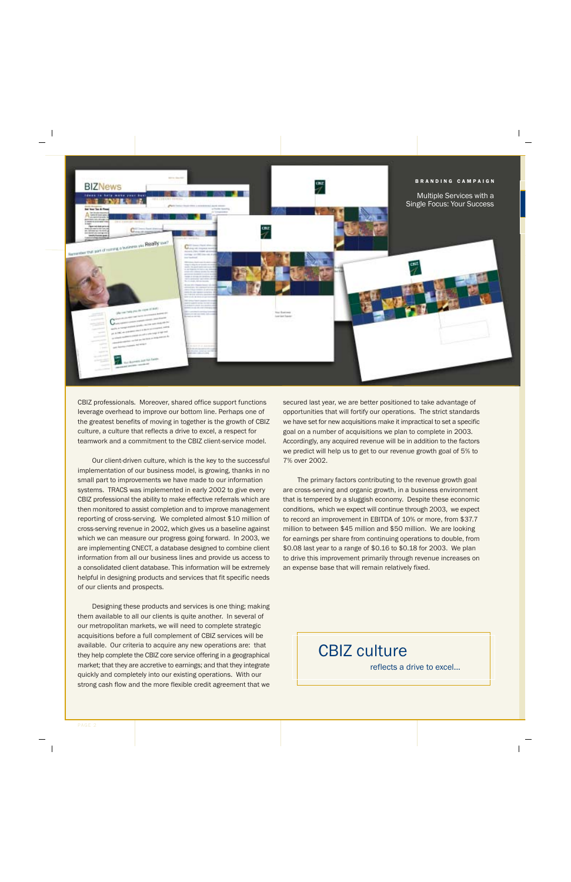

CBIZ professionals. Moreover, shared office support functions leverage overhead to improve our bottom line. Perhaps one of the greatest benefits of moving in together is the growth of CBIZ culture, a culture that reflects a drive to excel, a respect for teamwork and a commitment to the CBIZ client-service model.

Our client-driven culture, which is the key to the successful implementation of our business model, is growing, thanks in no small part to improvements we have made to our information systems. TRACS was implemented in early 2002 to give every CBIZ professional the ability to make effective referrals which are then monitored to assist completion and to improve management reporting of cross-serving. We completed almost \$10 million of cross-serving revenue in 2002, which gives us a baseline against which we can measure our progress going forward. In 2003, we are implementing CNECT, a database designed to combine client information from all our business lines and provide us access to a consolidated client database. This information will be extremely helpful in designing products and services that fit specific needs of our clients and prospects.

Designing these products and services is one thing; making them available to all our clients is quite another. In several of our metropolitan markets, we will need to complete strategic acquisitions before a full complement of CBIZ services will be available. Our criteria to acquire any new operations are: that they help complete the CBIZ core service offering in a geographical market; that they are accretive to earnings; and that they integrate quickly and completely into our existing operations. With our strong cash flow and the more flexible credit agreement that we

secured last year, we are better positioned to take advantage of opportunities that will fortify our operations. The strict standards we have set for new acquisitions make it impractical to set a specific goal on a number of acquisitions we plan to complete in 2003. Accordingly, any acquired revenue will be in addition to the factors we predict will help us to get to our revenue growth goal of 5% to 7% over 2002.

The primary factors contributing to the revenue growth goal are cross-serving and organic growth, in a business environment that is tempered by a sluggish economy. Despite these economic conditions, which we expect will continue through 2003, we expect to record an improvement in EBITDA of 10% or more, from \$37.7 million to between \$45 million and \$50 million. We are looking for earnings per share from continuing operations to double, from \$0.08 last year to a range of \$0.16 to \$0.18 for 2003. We plan to drive this improvement primarily through revenue increases on an expense base that will remain relatively fixed.

**CBIZ culture** 

reflects a drive to excel...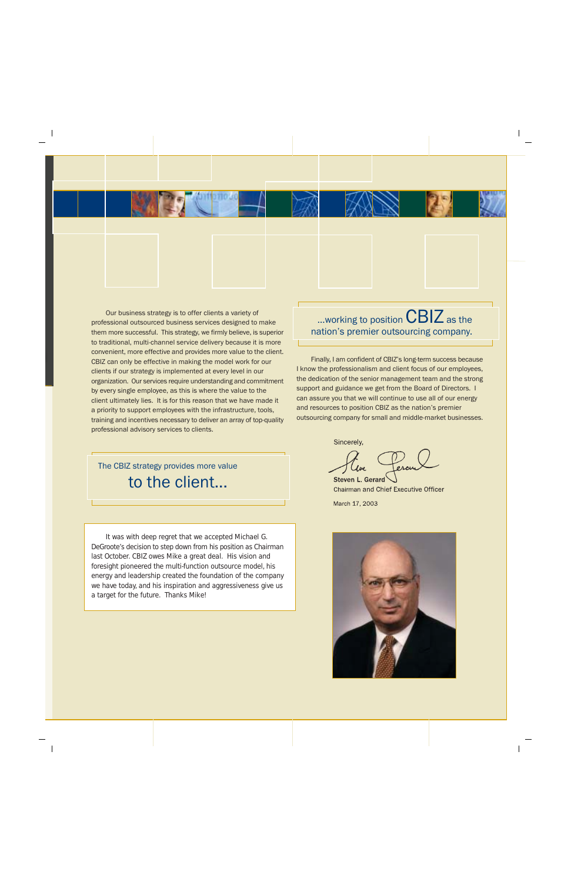Our business strategy is to offer clients a variety of professional outsourced business services designed to make them more successful. This strategy, we firmly believe, is superior to traditional, multi-channel service delivery because it is more convenient, more effective and provides more value to the client. CBIZ can only be effective in making the model work for our clients if our strategy is implemented at every level in our organization. Our services require understanding and commitment by every single employee, as this is where the value to the client ultimately lies. It is for this reason that we have made it a priority to support employees with the infrastructure, tools, training and incentives necessary to deliver an array of top-quality professional advisory services to clients.

...working to position  $CBIZ$  as the nation's premier outsourcing company.

Finally, I am confident of CBIZ's long-term success because I know the professionalism and client focus of our employees. the dedication of the senior management team and the strong support and guidance we get from the Board of Directors. I can assure you that we will continue to use all of our energy and resources to position CBIZ as the nation's premier outsourcing company for small and middle-market businesses.

The CBIZ strategy provides more value to the client...

It was with deep regret that we accepted Michael G. DeGroote's decision to step down from his position as Chairman last October. CBIZ owes Mike a great deal. His vision and foresight pioneered the multi-function outsource model, his energy and leadership created the foundation of the company we have today, and his inspiration and aggressiveness give us a target for the future. Thanks Mike!

Sincerely,

**Steven L. Gerard** 

Chairman and Chief Executive Officer March 17, 2003

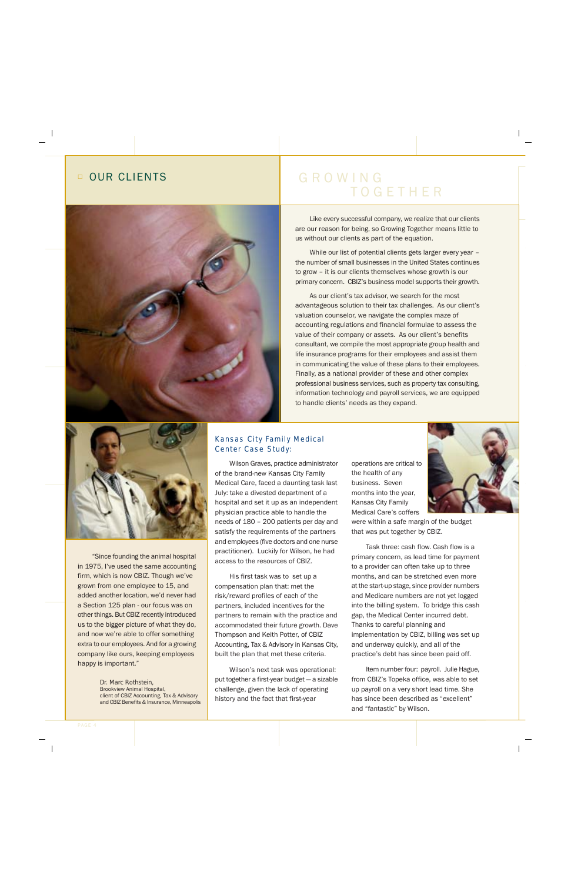# OUR CLIENTS

# GROWING **TOGETHER**



While our list of potential clients gets larger every year the number of small businesses in the United States continues to grow - it is our clients themselves whose growth is our primary concern. CBIZ's business model supports their growth.

As our client's tax advisor, we search for the most advantageous solution to their tax challenges. As our client's valuation counselor, we navigate the complex maze of accounting regulations and financial formulae to assess the value of their company or assets. As our client's benefits consultant, we compile the most appropriate group health and life insurance programs for their employees and assist them in communicating the value of these plans to their employees. Finally, as a national provider of these and other complex professional business services, such as property tax consulting, information technology and payroll services, we are equipped to handle clients' needs as they expand.



"Since founding the animal hospital in 1975, I've used the same accounting firm, which is now CBIZ. Though we've grown from one employee to 15, and added another location, we'd never had a Section 125 plan - our focus was on other things. But CBIZ recently introduced us to the bigger picture of what they do, and now we're able to offer something extra to our employees. And for a growing company like ours, keeping employees happy is important."

> Dr. Marc Rothstein, **Brookview Animal Hospital,** client of CBIZ Accounting, Tax & Advisory and CBIZ Benefits & Insurance, Minneapolis

## Kansas City Family Medical Center Case Study:

Wilson Graves, practice administrator of the brand-new Kansas City Family Medical Care, faced a daunting task last July: take a divested department of a hospital and set it up as an independent physician practice able to handle the needs of 180 - 200 patients per day and satisfy the requirements of the partners and employees (five doctors and one nurse practitioner). Luckily for Wilson, he had access to the resources of CBIZ.

His first task was to set up a compensation plan that: met the risk/reward profiles of each of the partners, included incentives for the partners to remain with the practice and accommodated their future growth. Dave Thompson and Keith Potter, of CBIZ Accounting, Tax & Advisory in Kansas City. built the plan that met these criteria.

Wilson's next task was operational: put together a first-year budget - a sizable challenge, given the lack of operating history and the fact that first-year

operations are critical to the health of any business. Seven months into the year, Kansas City Family Medical Care's coffers

were within a safe margin of the budget that was put together by CBIZ.

Task three: cash flow. Cash flow is a primary concern, as lead time for payment to a provider can often take up to three months, and can be stretched even more at the start-up stage, since provider numbers and Medicare numbers are not yet logged into the billing system. To bridge this cash gap, the Medical Center incurred debt. Thanks to careful planning and implementation by CBIZ, billing was set up and underway quickly, and all of the practice's debt has since been paid off.

Item number four: payroll. Julie Hague, from CBIZ's Topeka office, was able to set up payroll on a very short lead time. She has since been described as "excellent" and "fantastic" by Wilson.

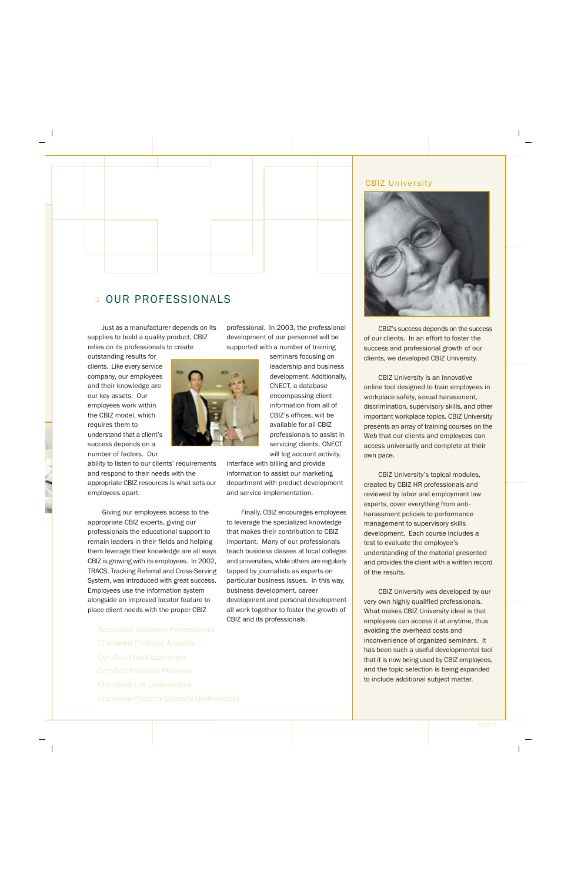# OUR PROFESSIONALS

Just as a manufacturer depends on its supplies to build a quality product, CBIZ relies on its professionals to create

outstanding results for clients. Like every service company, our employees and their knowledge are our key assets. Our employees work within the CBIZ model, which requires them to understand that a client's success depends on a number of factors. Our

ability to listen to our clients' requirements and respond to their needs with the appropriate CBIZ resources is what sets our employees apart.

Giving our employees access to the appropriate CBIZ experts, giving our professionals the educational support to remain leaders in their fields and helping them leverage their knowledge are all ways CBIZ is growing with its employees. In 2002, TRACS, Tracking Referral and Cross-Serving System, was introduced with great success. Employees use the information system alongside an improved locator feature to place client needs with the proper CBIZ

professional. In 2003, the professional development of our personnel will be supported with a number of training

> seminars focusing on leadership and business development. Additionally, CNECT, a database encompassing client information from all of CBIZ's offices, will be available for all CBIZ professionals to assist in servicing clients. CNECT will log account activity,

interface with billing and provide information to assist our marketing department with product development and service implementation.

Finally, CBIZ encourages employees to leverage the specialized knowledge that makes their contribution to CBIZ important. Many of our professionals teach business classes at local colleges and universities, while others are regularly tapped by journalists as experts on particular business issues. In this way, business development, career development and personal development all work together to foster the growth of CBIZ and its professionals.

## **CBIZ University**



CBIZ's success depends on the success of our clients. In an effort to foster the success and professional growth of our clients, we developed CBIZ University.

CBIZ University is an innovative online tool designed to train employees in workplace safety, sexual harassment, discrimination, supervisory skills, and other important workplace topics. CBIZ University presents an array of training courses on the Web that our clients and employees can access universally and complete at their own pace.

CBIZ University's topical modules, created by CBIZ HR professionals and reviewed by labor and employment law experts, cover everything from antiharassment policies to performance management to supervisory skills development. Each course includes a test to evaluate the employee's understanding of the material presented and provides the client with a written record of the results.

CBIZ University was developed by our very own highly qualified professionals. What makes CBIZ University ideal is that employees can access it at anytime, thus avoiding the overhead costs and inconvenience of organized seminars. It has been such a useful developmental tool that it is now being used by CBIZ employees, and the topic selection is being expanded to include additional subject matter.

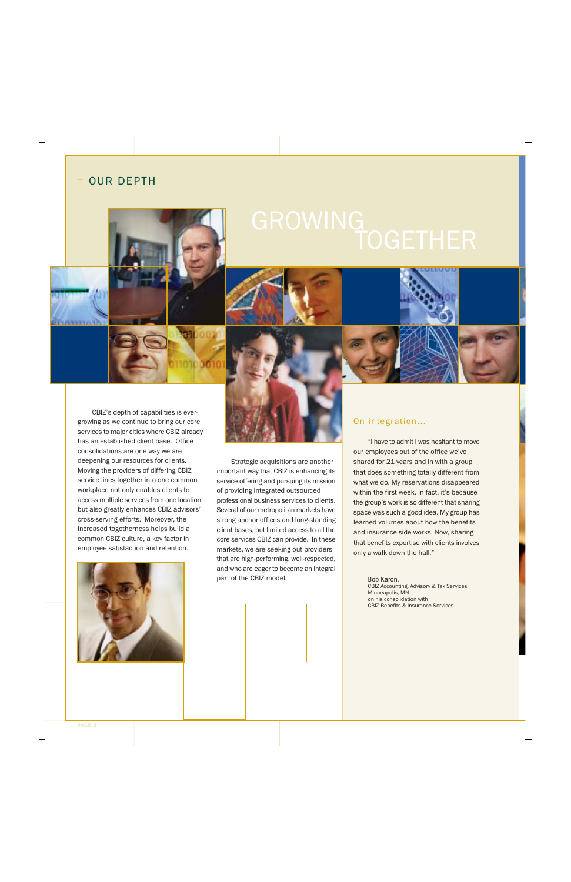# **D OUR DEPTH**







## On integration...

"I have to admit I was hesitant to move our employees out of the office we've shared for 21 years and in with a group that does something totally different from what we do. My reservations disappeared within the first week. In fact, it's because the group's work is so different that sharing space was such a good idea. My group has learned volumes about how the benefits and insurance side works. Now, sharing that benefits expertise with clients involves only a walk down the hall."

> Bob Karon. CBIZ Accounting, Advisory & Tax Services, Minneapolis, MN on his consolidation with **CBIZ Benefits & Insurance Services**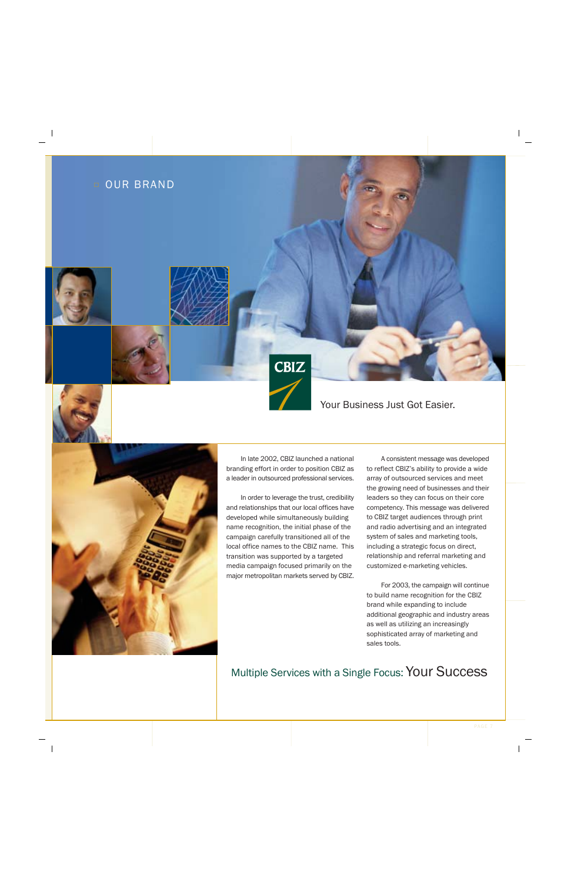



In late 2002, CBIZ launched a national branding effort in order to position CBIZ as a leader in outsourced professional services.

In order to leverage the trust, credibility and relationships that our local offices have developed while simultaneously building name recognition, the initial phase of the campaign carefully transitioned all of the local office names to the CBIZ name. This transition was supported by a targeted media campaign focused primarily on the major metropolitan markets served by CBIZ.

A consistent message was developed to reflect CBIZ's ability to provide a wide array of outsourced services and meet the growing need of businesses and their leaders so they can focus on their core competency. This message was delivered to CBIZ target audiences through print and radio advertising and an integrated system of sales and marketing tools, including a strategic focus on direct, relationship and referral marketing and customized e-marketing vehicles.

Your Business Just Got Easier.

For 2003, the campaign will continue to build name recognition for the CBIZ brand while expanding to include additional geographic and industry areas as well as utilizing an increasingly sophisticated array of marketing and sales tools.

# Multiple Services with a Single Focus: Your Success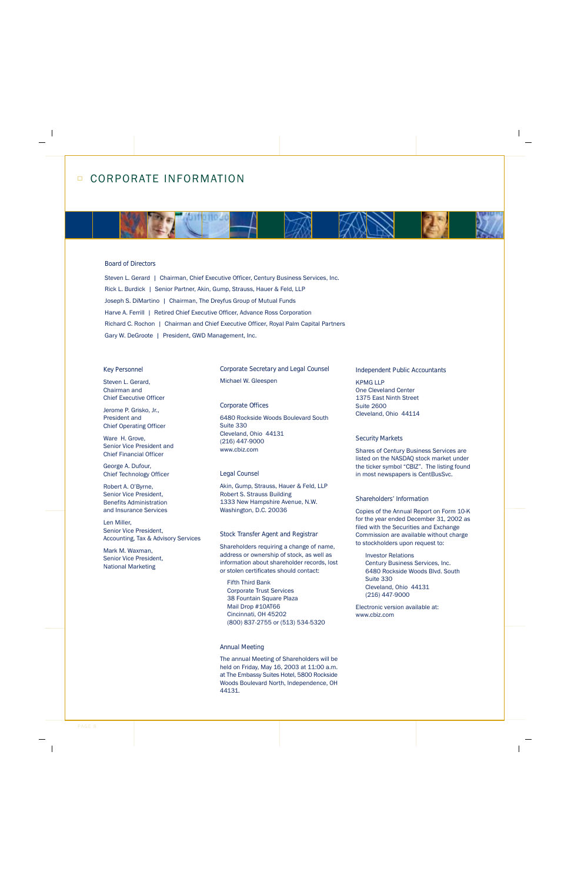## **Board of Directors**

Steven L. Gerard | Chairman, Chief Executive Officer, Century Business Services, Inc. Rick L. Burdick | Senior Partner, Akin, Gump, Strauss, Hauer & Feld, LLP Joseph S. DiMartino | Chairman, The Dreyfus Group of Mutual Funds Harve A. Ferrill | Retired Chief Executive Officer, Advance Ross Corporation Richard C. Rochon | Chairman and Chief Executive Officer, Royal Palm Capital Partners Gary W. DeGroote | President, GWD Management, Inc.

## **Key Personnel**

Steven L. Gerard, Chairman and **Chief Executive Officer** 

Jerome P. Grisko, Jr., President and **Chief Operating Officer** 

Ware H. Grove, Senior Vice President and **Chief Financial Officer** 

George A. Dufour, Chief Technology Officer

Robert A. O'Byrne, Senior Vice President. **Benefits Administration** and Insurance Services

Len Miller. Senior Vice President, Accounting, Tax & Advisory Services

Mark M Waxman Senior Vice President. **National Marketing** 

**Corporate Secretary and Legal Counsel** Michael W. Gleespen

## **Corporate Offices**

6480 Rockside Woods Boulevard South Suite 330 Cleveland, Ohio 44131  $(216)$  447-9000 www.cbiz.com

## **Legal Counsel**

Akin, Gump, Strauss, Hauer & Feld, LLP **Robert S. Strauss Building** 1333 New Hampshire Avenue, N.W. Washington, D.C. 20036

## **Stock Transfer Agent and Registrar**

Shareholders requiring a change of name, address or ownership of stock, as well as information about shareholder records, lost or stolen certificates should contact:

**Fifth Third Bank Corporate Trust Services** 38 Fountain Square Plaza Mail Drop #10AT66 Cincinnati, OH 45202 (800) 837-2755 or (513) 534-5320

## **Annual Meeting**

The annual Meeting of Shareholders will be held on Friday, May 16, 2003 at 11:00 a.m. at The Embassy Suites Hotel, 5800 Rockside Woods Boulevard North, Independence, OH 44131.

### **Independent Public Accountants**

**KPMG LLP One Cleveland Center** 1375 East Ninth Street Suite 2600 Cleveland, Ohio 44114

## **Security Markets**

Shares of Century Business Services are listed on the NASDAQ stock market under the ticker symbol "CBIZ". The listing found in most newspapers is CentBusSvc.

## Shareholders' Information

Copies of the Annual Report on Form 10-K for the year ended December 31, 2002 as filed with the Securities and Exchange Commission are available without charge to stockholders upon request to:

**Investor Relations** Century Business Services, Inc. 6480 Rockside Woods Blvd. South Suite 330 Cleveland, Ohio 44131 (216) 447-9000

Electronic version available at: www.cbiz.com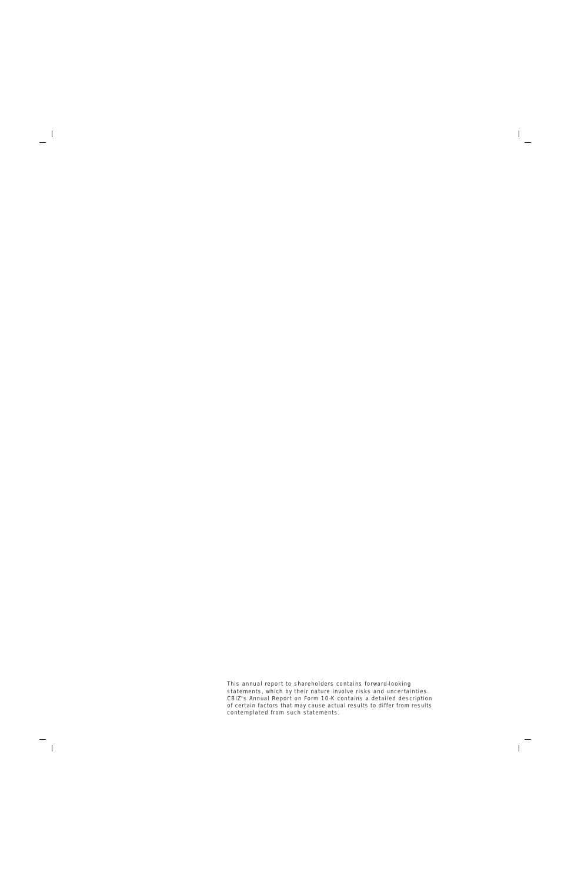This annual report to shareholders contains forward-looking statements, which by their nature involve risks and uncertainties. CBIZ's Annual Report on Form 10-K contains a detailed description of certain factors that may cause actual results to differ from results contemplated from such statements.